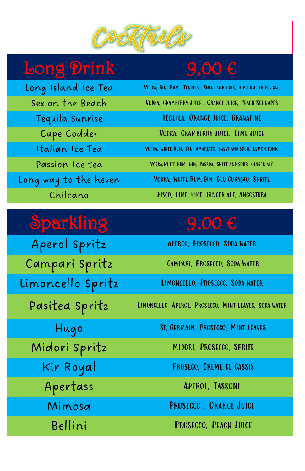

# Long Prink 9,00  $\epsilon$

Long Island Ice Tea VODKA, GIN, RUM, TEQUILA, SWEET AND SOUR, TOP COLA, TRIPLE SEC Sex on the Beach VODKA, CRAMBERRY JUICE, ORANGE JUICE, PEACH SCHNAPPS Tequila Sunrise Tequila, Orange juice, Granatine Cape Codder Vodka, Cramberry juice, Lime juice Italian Ice Tea VODKA, WHITE RUM, GIN, AMARETTO, SWEET AND SOUR, LEMON TONIC Passion Ice tea VODKA, WHITE RUM, GIN, PASSOA, SWEET AND SOUR, GINGER ALE Long way to the heven Vodka, White Rum,Gin, Blu Curaçao, Sprite Chilcano Pisco, Lime juice, Ginger ale, Angostura

Aperol Spritz Aperol, Prosecco, Soda Water Campari Spritz Campari, Prosecco, Soda Water Limoncello Spritz LIMONCELLO, PROSECCO, SODA WATER

Pasitea Spritz LIMONCELLO, APEROL, PROSECCO, MINT LEAVES, SODA WATER

### Sparkling 9,00 €

Hugo St. Germain, Prosecco, Mint leaves

Middle Control Spritz Middle Middle Description

| MIQOVI SPVITZ | <b>MIDURI, PRUSECCU, SPRIIE</b> |
|---------------|---------------------------------|
| Kir Royal     | PROSECO, CREME DE CASSIS        |
| Apertass      | <b>APEROL, TASSONI</b>          |
| Mimosa        | PROSECCO, ORANGE JUICE          |
| Bellini       | PROSECCO, PEACH JUICE           |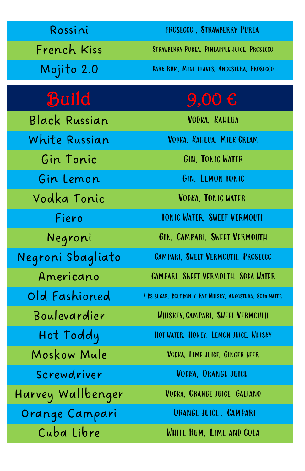| Rossini           | PROSECCO, STRAWBERRY PUREA                              |
|-------------------|---------------------------------------------------------|
| French Kiss       | STRAWBERRY PUREA, PINEAPPLE JUICE, PROSECCO             |
| Mojito 2.0        | DARK RUM, MINT LEAVES, ANGOSTURA, PROSECCO              |
| <b>Build</b>      | $9,00 \in$                                              |
| Black Russian     | VODKA, KAHLUA                                           |
| White Russian     | VODKA, KAHLUA, MILK CREAM                               |
| Gin Tonic         | GIN, TONIC WATER                                        |
| Gin Lemon         | GIN, LEMON TONIC                                        |
| Vodka Tonic       | <b>VODKA, TONIC WATER</b>                               |
| Fiero             | TONIC WATER, SWEET VERMOUTH                             |
| Negroni           | GIN, CAMPARI, SWEET VERMOUTH                            |
| Negroni Sbagliato | CAMPARI, SWEET VERMOUTH, PROSECCO                       |
| Americano         | CAMPARI, SWEET VERMOUTH, SODA WATER                     |
| Old Fashioned     | 2 BS SUGAR, BOURBON / RYE WHISKY, ANGOSTURA, SODA WATER |
| Boulevardier      | WHISKEY, CAMPARI, SWEET VERMOUTH                        |
| Hot Toddy         | HOT WATER, HONEY, LEMON JUICE, WHISKY                   |
| Moskow Mule       | VODKA, LIME JUICE, GINGER BEER                          |
| Screwdriver       | VODKA, ORANGE JUICE                                     |
| Harvey Wallbenger | VODKA, ORANGE JUICE, GALIANO                            |
| Orange Campari    | <b>ORANGE JUICE, CAMPARI</b>                            |
| Cuba Libre        | WHITE RUM, LIME AND COLA                                |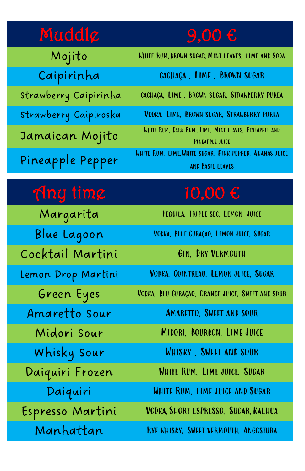# Muddle  $9,00 \in$

| Mojito                | WHITE RUM, BROWN SUGAR, MINT LEAVES, LIME AND SODA                          |
|-----------------------|-----------------------------------------------------------------------------|
| Caipirinha            | CACHAÇA, LIME, BROWN SUGAR                                                  |
| Strawberry Caipirinha | CACHAÇA, LIME, BROWN SUGAR, STRAWBERRY PUREA                                |
| Strawberry Caipiroska | VODKA, LIME, BROWN SUGAR, STRAWBERRY PUREA                                  |
| Jamaican Mojito       | WHITE RUM, DARK RUM, LIME, MINT LEAVES, PINEAPPLE AND<br>PINEAPPLE JUICE    |
| Pineapple Pepper      | WHITE RUM, LIME, WHITE SUGAR, PINK PEPPER, ANANAS JUICE<br>AND BASIL LEAVES |

# $\int \ln y \, \lim \ell$  10,00 €

Margarita Tequila, Triple sec, Lemon juice

Cocktail Martini GIN, DRY VERMOUTH

Blue Lagoon Vodka, Blue Curaçao, Lemon juice, Sugar

Lemon Drop Martini Vodka, Cointreau, Lemon juice, Sugar

Green Eyes Vodka, Blu Curaçao, Orange juice, Sweet and sour

Amaretto Sour Amaretto, Sweet and sour

Midori Sour Midori, Bourbon, Lime Juice

| WHISKY, SWEET AND SOUR                |
|---------------------------------------|
| WHITE RUM, LIME JUICE, SUGAR          |
| WHITE RUM, LIME JUICE AND SUGAR       |
| VODKA, SHORT ESPRESSO, SUGAR, KALHUA  |
| RYE WHISKY, SWEET VERMOUTH, ANGOSTURA |
|                                       |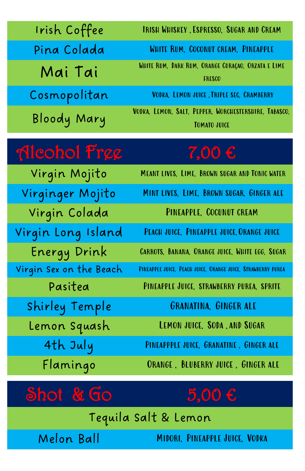| Irish Coffee            | <b>IRISH WHISKEY, ESPRESSO, SUGAR AND CREAM</b>                              |
|-------------------------|------------------------------------------------------------------------------|
| Pina Colada             | WHITE RUM, COCONUT CREAM, PINEAPPLE                                          |
| Mai Tai                 | WHITE RUM, DARK RUM, ORANGE CURAÇAO, ORZATA E LIME<br><b>FRESCO</b>          |
| Cosmopolitan            | VODKA, LEMON JUICE, TRIPLE SEC, CRAMBERRY                                    |
| Bloody Mary             | VODKA, LEMON, SALT, PEPPER, WORCHESTERSHIRE, TABASCO,<br><b>TOMATO JUICE</b> |
| Meohol Free             | $7,00 \in$                                                                   |
| Virgin Mojito           | MEANT LIVES, LIME, BROWN SUGAR AND TONIC WATER                               |
| Virginger Mojito        | MINT LIVES, LIME, BROWN SUGAR, GINGER ALE                                    |
| Virgin Colada           | PINEAPPLE, COCUNUT CREAM                                                     |
| Virgin Long Island      | PEACH JUICE, PINEAPPLE JUICE, ORANGE JUICE                                   |
| Energy Drink            | CARROTS, BANANA, ORANGE JUICE, WHITE EGG, SUGAR                              |
| Virgin Sex on the Beach | PINEAPPLE JUICE, PEACH JUICE, ORANGE JUICE, STRAWBERRY PUREA                 |
| Pasitea                 | PINEAPPLE JUICE, STRAWBERRY PUREA, SPRITE                                    |
| Shirley Temple          | <b>GRANATINA, GINGER ALE</b>                                                 |
| Lemon Squash            | LEMON JUICE, SODA, AND SUGAR                                                 |
| $1 + 1 - 1$             | <b>F HILLE CRANATINE CINCI</b>                                               |